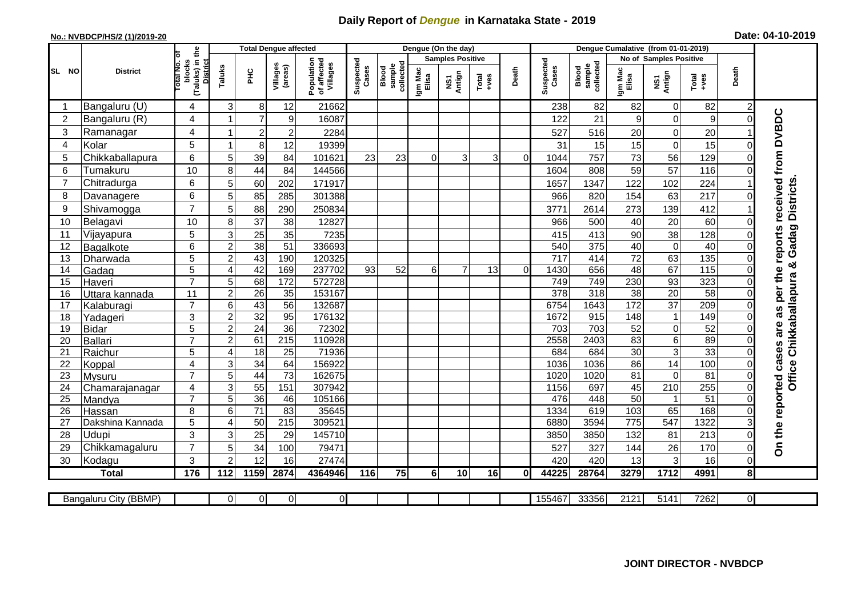## **Daily Report of** *Dengue* **in Karnataka State - 2019**

## **No.: NVBDCP/HS/2 (1)/2019-20 Date: 04-10-2019**

| (Taluks) in the<br>Total No. of<br><b>Samples Positive</b><br><b>No of Samples Positive</b><br>Suspected<br>Cases<br>Suspected<br>Cases<br>Population<br>of affected<br>Villages<br>blocks<br><b>District</b><br>collected<br>sample<br>collected<br>Villages<br>sample<br>(areas)<br>Taluks<br>Blood<br>Blood<br>Death<br>Death<br>Igm Mac<br>Elisa<br>Igm Mac<br>Elisa<br>SL NO<br><b>PHC</b><br><b>District</b><br>NS1<br>Antign<br>NS1<br>Antign<br>$Tota$<br>$+ves$<br>Total<br>+ves<br>12<br>21662<br>82<br>82<br>Bangaluru (U)<br>4<br>3<br>8<br>238<br>$\mathbf 0$<br>82<br>$\overline{c}$<br>received from DVBDC<br>2<br>Bangaluru (R)<br>4<br>7<br>$\boldsymbol{9}$<br>122<br>21<br>9<br>$\mathbf 0$<br>9<br>16087<br>$\Omega$<br>4<br>3<br>Ramanagar<br>$\overline{2}$<br>$\overline{c}$<br>527<br>516<br>20<br>$\mathbf 0$<br>20<br>2284<br>5<br>Kolar<br>$\mathbf 0$<br>8<br>12<br>19399<br>31<br>15<br>15<br>15<br>4<br>6<br>73<br>5<br>Chikkaballapura<br>39<br>23<br>23<br>3<br>757<br>56<br>129<br>5<br>84<br>101621<br>3<br>1044<br>$\Omega$<br>$\Omega$<br>57<br>10<br>44<br>59<br>6<br>84<br>808<br>116<br>Tumakuru<br>8<br>1604<br>144566<br><b>Districts</b><br>6<br>$\overline{7}$<br>Chitradurga<br>102<br>60<br>202<br>1657<br>1347<br>122<br>224<br>5<br>171917<br>6<br>154<br>63<br>217<br>5<br>85<br>285<br>301388<br>966<br>820<br>8<br>Davanagere<br>$\overline{7}$<br>273<br>139<br>9<br>Shivamogga<br>88<br>290<br>3771<br>2614<br>412<br>250834<br>5<br>$\overline{37}$<br>10<br>20<br>38<br>12827<br>500<br>40<br>60<br>10<br>Belagavi<br>966<br>8<br>Gadag<br>per the reports<br>5<br>38<br>Vijayapura<br>25<br>35<br>413<br>90<br>128<br>11<br>3<br>7235<br>415<br>38<br>375<br>$\overline{51}$<br>336693<br>540<br>40<br>$\pmb{0}$<br>40<br>6<br>$\overline{2}$<br>Bagalkote<br>12<br>$\Omega$<br>135<br>5<br>43<br>190<br>$\overline{72}$<br>63<br>$\overline{2}$<br>120325<br>$\overline{717}$<br>414<br>13<br>Dharwada<br>ఱ<br>5<br>42<br>48<br>67<br>$\frac{115}{115}$<br>169<br>237702<br>93<br>52<br>6<br>7<br>13<br>1430<br>656<br>14<br>$\Omega$<br>Gadag<br>$\overline{A}$<br>Office Chikkaballapura<br>$\overline{7}$<br>749<br>230<br>93<br>323<br>5<br>68<br>172<br>572728<br>749<br>15<br>Haveri<br>378<br>318<br>$\overline{38}$<br>$\overline{58}$<br>11<br>$\overline{2}$<br>26<br>35<br>153167<br>20<br>16<br>0<br>Uttara kannada<br>172<br>$\overline{37}$<br>209<br>$\overline{7}$<br>43<br>$\overline{56}$<br>132687<br>6754<br>1643<br>17<br>6<br>Kalaburagi<br>are as<br>3<br>32<br>95<br>915<br>$\overline{2}$<br>176132<br>1672<br>148<br>149<br>18<br>Yadageri<br>1<br>24<br>36<br>703<br>52<br>52<br>5<br>$\overline{2}$<br>72302<br>703<br>$\mathbf 0$<br>19<br><b>Bidar</b><br>$\overline{7}$<br>61<br>89<br>$\overline{215}$<br>2558<br>83<br>$\,6$<br>$\overline{2}$<br>110928<br>2403<br><b>Ballari</b><br>20<br>On the reported cases<br>33<br>30<br>$\overline{25}$<br>$\overline{3}$<br>5<br>$\overline{18}$<br>71936<br>684<br>684<br>21<br>Raichur<br>$\overline{A}$<br>34<br>$\overline{14}$<br>100<br>64<br>86<br>22<br>4<br>3<br>156922<br>1036<br>1036<br>Koppal<br>73<br>81<br>81<br>$\overline{7}$<br>5<br>44<br>162675<br>1020<br>1020<br>$\mathbf 0$<br>23<br>Mysuru<br>307942<br>1156<br>697<br>45<br>$\overline{210}$<br>255<br>24<br>3<br>55<br>151<br>4<br>Chamarajanagar<br>$\overline{7}$<br>51<br>5<br>36<br>105166<br>476<br>$\overline{50}$<br>25<br>46<br>448<br>Mandya<br>$\mathbf{1}$<br>71<br>8<br>83<br>35645<br>1334<br>619<br>103<br>65<br>168<br>26<br>6<br>Hassan<br>547<br>1322<br>5<br>50<br>215<br>309521<br>3594<br>$\overline{775}$<br>6880<br>27<br>Dakshina Kannada<br>$\overline{A}$<br>3<br>28<br>25<br>29<br>81<br>213<br>Udupi<br>3<br>145710<br>3850<br>3850<br>132<br>$\Omega$<br>$\overline{7}$<br>34<br>26<br>170<br>29<br>Chikkamagaluru<br>5<br>100<br>79471<br>527<br>327<br>144<br>0<br>3<br>3<br>12<br>13<br>16<br>Kodagu<br>2<br>16<br>27474<br>420<br>420<br>30<br>0<br>1712<br>176<br>1159<br>75<br>4991<br>112<br>2874<br>4364946<br>116<br>6<br>10<br>44225<br>28764<br>3279<br>8<br><b>Total</b><br>16<br>0l<br>$\mathbf 0$<br>$\Omega$<br>33356<br>2121<br>7262<br>ΟI<br>$\Omega$<br>155467<br>5141<br>Bangaluru City (BBMP)<br>$\Omega$ |  |  | <b>Total Dengue affected</b> |  |  | Dengue (On the day) |  |  |  |  |  |  |
|------------------------------------------------------------------------------------------------------------------------------------------------------------------------------------------------------------------------------------------------------------------------------------------------------------------------------------------------------------------------------------------------------------------------------------------------------------------------------------------------------------------------------------------------------------------------------------------------------------------------------------------------------------------------------------------------------------------------------------------------------------------------------------------------------------------------------------------------------------------------------------------------------------------------------------------------------------------------------------------------------------------------------------------------------------------------------------------------------------------------------------------------------------------------------------------------------------------------------------------------------------------------------------------------------------------------------------------------------------------------------------------------------------------------------------------------------------------------------------------------------------------------------------------------------------------------------------------------------------------------------------------------------------------------------------------------------------------------------------------------------------------------------------------------------------------------------------------------------------------------------------------------------------------------------------------------------------------------------------------------------------------------------------------------------------------------------------------------------------------------------------------------------------------------------------------------------------------------------------------------------------------------------------------------------------------------------------------------------------------------------------------------------------------------------------------------------------------------------------------------------------------------------------------------------------------------------------------------------------------------------------------------------------------------------------------------------------------------------------------------------------------------------------------------------------------------------------------------------------------------------------------------------------------------------------------------------------------------------------------------------------------------------------------------------------------------------------------------------------------------------------------------------------------------------------------------------------------------------------------------------------------------------------------------------------------------------------------------------------------------------------------------------------------------------------------------------------------------------------------------------------------------------------------------------------------------------------------------------------------------------------------------------------------------------------------------------------------------------------------------------------------------------------------------------------------------------------------------------------------------------------------------------------------------------------------------------------------------------------------------------------------------------------------------------------------------------------------------------------------------------------------------------------------------------------------------------------------------------------------------------------------------|--|--|------------------------------|--|--|---------------------|--|--|--|--|--|--|
|                                                                                                                                                                                                                                                                                                                                                                                                                                                                                                                                                                                                                                                                                                                                                                                                                                                                                                                                                                                                                                                                                                                                                                                                                                                                                                                                                                                                                                                                                                                                                                                                                                                                                                                                                                                                                                                                                                                                                                                                                                                                                                                                                                                                                                                                                                                                                                                                                                                                                                                                                                                                                                                                                                                                                                                                                                                                                                                                                                                                                                                                                                                                                                                                                                                                                                                                                                                                                                                                                                                                                                                                                                                                                                                                                                                                                                                                                                                                                                                                                                                                                                                                                                                                                                                                        |  |  |                              |  |  |                     |  |  |  |  |  |  |
|                                                                                                                                                                                                                                                                                                                                                                                                                                                                                                                                                                                                                                                                                                                                                                                                                                                                                                                                                                                                                                                                                                                                                                                                                                                                                                                                                                                                                                                                                                                                                                                                                                                                                                                                                                                                                                                                                                                                                                                                                                                                                                                                                                                                                                                                                                                                                                                                                                                                                                                                                                                                                                                                                                                                                                                                                                                                                                                                                                                                                                                                                                                                                                                                                                                                                                                                                                                                                                                                                                                                                                                                                                                                                                                                                                                                                                                                                                                                                                                                                                                                                                                                                                                                                                                                        |  |  |                              |  |  |                     |  |  |  |  |  |  |
|                                                                                                                                                                                                                                                                                                                                                                                                                                                                                                                                                                                                                                                                                                                                                                                                                                                                                                                                                                                                                                                                                                                                                                                                                                                                                                                                                                                                                                                                                                                                                                                                                                                                                                                                                                                                                                                                                                                                                                                                                                                                                                                                                                                                                                                                                                                                                                                                                                                                                                                                                                                                                                                                                                                                                                                                                                                                                                                                                                                                                                                                                                                                                                                                                                                                                                                                                                                                                                                                                                                                                                                                                                                                                                                                                                                                                                                                                                                                                                                                                                                                                                                                                                                                                                                                        |  |  |                              |  |  |                     |  |  |  |  |  |  |
|                                                                                                                                                                                                                                                                                                                                                                                                                                                                                                                                                                                                                                                                                                                                                                                                                                                                                                                                                                                                                                                                                                                                                                                                                                                                                                                                                                                                                                                                                                                                                                                                                                                                                                                                                                                                                                                                                                                                                                                                                                                                                                                                                                                                                                                                                                                                                                                                                                                                                                                                                                                                                                                                                                                                                                                                                                                                                                                                                                                                                                                                                                                                                                                                                                                                                                                                                                                                                                                                                                                                                                                                                                                                                                                                                                                                                                                                                                                                                                                                                                                                                                                                                                                                                                                                        |  |  |                              |  |  |                     |  |  |  |  |  |  |
|                                                                                                                                                                                                                                                                                                                                                                                                                                                                                                                                                                                                                                                                                                                                                                                                                                                                                                                                                                                                                                                                                                                                                                                                                                                                                                                                                                                                                                                                                                                                                                                                                                                                                                                                                                                                                                                                                                                                                                                                                                                                                                                                                                                                                                                                                                                                                                                                                                                                                                                                                                                                                                                                                                                                                                                                                                                                                                                                                                                                                                                                                                                                                                                                                                                                                                                                                                                                                                                                                                                                                                                                                                                                                                                                                                                                                                                                                                                                                                                                                                                                                                                                                                                                                                                                        |  |  |                              |  |  |                     |  |  |  |  |  |  |
|                                                                                                                                                                                                                                                                                                                                                                                                                                                                                                                                                                                                                                                                                                                                                                                                                                                                                                                                                                                                                                                                                                                                                                                                                                                                                                                                                                                                                                                                                                                                                                                                                                                                                                                                                                                                                                                                                                                                                                                                                                                                                                                                                                                                                                                                                                                                                                                                                                                                                                                                                                                                                                                                                                                                                                                                                                                                                                                                                                                                                                                                                                                                                                                                                                                                                                                                                                                                                                                                                                                                                                                                                                                                                                                                                                                                                                                                                                                                                                                                                                                                                                                                                                                                                                                                        |  |  |                              |  |  |                     |  |  |  |  |  |  |
|                                                                                                                                                                                                                                                                                                                                                                                                                                                                                                                                                                                                                                                                                                                                                                                                                                                                                                                                                                                                                                                                                                                                                                                                                                                                                                                                                                                                                                                                                                                                                                                                                                                                                                                                                                                                                                                                                                                                                                                                                                                                                                                                                                                                                                                                                                                                                                                                                                                                                                                                                                                                                                                                                                                                                                                                                                                                                                                                                                                                                                                                                                                                                                                                                                                                                                                                                                                                                                                                                                                                                                                                                                                                                                                                                                                                                                                                                                                                                                                                                                                                                                                                                                                                                                                                        |  |  |                              |  |  |                     |  |  |  |  |  |  |
|                                                                                                                                                                                                                                                                                                                                                                                                                                                                                                                                                                                                                                                                                                                                                                                                                                                                                                                                                                                                                                                                                                                                                                                                                                                                                                                                                                                                                                                                                                                                                                                                                                                                                                                                                                                                                                                                                                                                                                                                                                                                                                                                                                                                                                                                                                                                                                                                                                                                                                                                                                                                                                                                                                                                                                                                                                                                                                                                                                                                                                                                                                                                                                                                                                                                                                                                                                                                                                                                                                                                                                                                                                                                                                                                                                                                                                                                                                                                                                                                                                                                                                                                                                                                                                                                        |  |  |                              |  |  |                     |  |  |  |  |  |  |
|                                                                                                                                                                                                                                                                                                                                                                                                                                                                                                                                                                                                                                                                                                                                                                                                                                                                                                                                                                                                                                                                                                                                                                                                                                                                                                                                                                                                                                                                                                                                                                                                                                                                                                                                                                                                                                                                                                                                                                                                                                                                                                                                                                                                                                                                                                                                                                                                                                                                                                                                                                                                                                                                                                                                                                                                                                                                                                                                                                                                                                                                                                                                                                                                                                                                                                                                                                                                                                                                                                                                                                                                                                                                                                                                                                                                                                                                                                                                                                                                                                                                                                                                                                                                                                                                        |  |  |                              |  |  |                     |  |  |  |  |  |  |
|                                                                                                                                                                                                                                                                                                                                                                                                                                                                                                                                                                                                                                                                                                                                                                                                                                                                                                                                                                                                                                                                                                                                                                                                                                                                                                                                                                                                                                                                                                                                                                                                                                                                                                                                                                                                                                                                                                                                                                                                                                                                                                                                                                                                                                                                                                                                                                                                                                                                                                                                                                                                                                                                                                                                                                                                                                                                                                                                                                                                                                                                                                                                                                                                                                                                                                                                                                                                                                                                                                                                                                                                                                                                                                                                                                                                                                                                                                                                                                                                                                                                                                                                                                                                                                                                        |  |  |                              |  |  |                     |  |  |  |  |  |  |
|                                                                                                                                                                                                                                                                                                                                                                                                                                                                                                                                                                                                                                                                                                                                                                                                                                                                                                                                                                                                                                                                                                                                                                                                                                                                                                                                                                                                                                                                                                                                                                                                                                                                                                                                                                                                                                                                                                                                                                                                                                                                                                                                                                                                                                                                                                                                                                                                                                                                                                                                                                                                                                                                                                                                                                                                                                                                                                                                                                                                                                                                                                                                                                                                                                                                                                                                                                                                                                                                                                                                                                                                                                                                                                                                                                                                                                                                                                                                                                                                                                                                                                                                                                                                                                                                        |  |  |                              |  |  |                     |  |  |  |  |  |  |
|                                                                                                                                                                                                                                                                                                                                                                                                                                                                                                                                                                                                                                                                                                                                                                                                                                                                                                                                                                                                                                                                                                                                                                                                                                                                                                                                                                                                                                                                                                                                                                                                                                                                                                                                                                                                                                                                                                                                                                                                                                                                                                                                                                                                                                                                                                                                                                                                                                                                                                                                                                                                                                                                                                                                                                                                                                                                                                                                                                                                                                                                                                                                                                                                                                                                                                                                                                                                                                                                                                                                                                                                                                                                                                                                                                                                                                                                                                                                                                                                                                                                                                                                                                                                                                                                        |  |  |                              |  |  |                     |  |  |  |  |  |  |
|                                                                                                                                                                                                                                                                                                                                                                                                                                                                                                                                                                                                                                                                                                                                                                                                                                                                                                                                                                                                                                                                                                                                                                                                                                                                                                                                                                                                                                                                                                                                                                                                                                                                                                                                                                                                                                                                                                                                                                                                                                                                                                                                                                                                                                                                                                                                                                                                                                                                                                                                                                                                                                                                                                                                                                                                                                                                                                                                                                                                                                                                                                                                                                                                                                                                                                                                                                                                                                                                                                                                                                                                                                                                                                                                                                                                                                                                                                                                                                                                                                                                                                                                                                                                                                                                        |  |  |                              |  |  |                     |  |  |  |  |  |  |
|                                                                                                                                                                                                                                                                                                                                                                                                                                                                                                                                                                                                                                                                                                                                                                                                                                                                                                                                                                                                                                                                                                                                                                                                                                                                                                                                                                                                                                                                                                                                                                                                                                                                                                                                                                                                                                                                                                                                                                                                                                                                                                                                                                                                                                                                                                                                                                                                                                                                                                                                                                                                                                                                                                                                                                                                                                                                                                                                                                                                                                                                                                                                                                                                                                                                                                                                                                                                                                                                                                                                                                                                                                                                                                                                                                                                                                                                                                                                                                                                                                                                                                                                                                                                                                                                        |  |  |                              |  |  |                     |  |  |  |  |  |  |
|                                                                                                                                                                                                                                                                                                                                                                                                                                                                                                                                                                                                                                                                                                                                                                                                                                                                                                                                                                                                                                                                                                                                                                                                                                                                                                                                                                                                                                                                                                                                                                                                                                                                                                                                                                                                                                                                                                                                                                                                                                                                                                                                                                                                                                                                                                                                                                                                                                                                                                                                                                                                                                                                                                                                                                                                                                                                                                                                                                                                                                                                                                                                                                                                                                                                                                                                                                                                                                                                                                                                                                                                                                                                                                                                                                                                                                                                                                                                                                                                                                                                                                                                                                                                                                                                        |  |  |                              |  |  |                     |  |  |  |  |  |  |
|                                                                                                                                                                                                                                                                                                                                                                                                                                                                                                                                                                                                                                                                                                                                                                                                                                                                                                                                                                                                                                                                                                                                                                                                                                                                                                                                                                                                                                                                                                                                                                                                                                                                                                                                                                                                                                                                                                                                                                                                                                                                                                                                                                                                                                                                                                                                                                                                                                                                                                                                                                                                                                                                                                                                                                                                                                                                                                                                                                                                                                                                                                                                                                                                                                                                                                                                                                                                                                                                                                                                                                                                                                                                                                                                                                                                                                                                                                                                                                                                                                                                                                                                                                                                                                                                        |  |  |                              |  |  |                     |  |  |  |  |  |  |
|                                                                                                                                                                                                                                                                                                                                                                                                                                                                                                                                                                                                                                                                                                                                                                                                                                                                                                                                                                                                                                                                                                                                                                                                                                                                                                                                                                                                                                                                                                                                                                                                                                                                                                                                                                                                                                                                                                                                                                                                                                                                                                                                                                                                                                                                                                                                                                                                                                                                                                                                                                                                                                                                                                                                                                                                                                                                                                                                                                                                                                                                                                                                                                                                                                                                                                                                                                                                                                                                                                                                                                                                                                                                                                                                                                                                                                                                                                                                                                                                                                                                                                                                                                                                                                                                        |  |  |                              |  |  |                     |  |  |  |  |  |  |
|                                                                                                                                                                                                                                                                                                                                                                                                                                                                                                                                                                                                                                                                                                                                                                                                                                                                                                                                                                                                                                                                                                                                                                                                                                                                                                                                                                                                                                                                                                                                                                                                                                                                                                                                                                                                                                                                                                                                                                                                                                                                                                                                                                                                                                                                                                                                                                                                                                                                                                                                                                                                                                                                                                                                                                                                                                                                                                                                                                                                                                                                                                                                                                                                                                                                                                                                                                                                                                                                                                                                                                                                                                                                                                                                                                                                                                                                                                                                                                                                                                                                                                                                                                                                                                                                        |  |  |                              |  |  |                     |  |  |  |  |  |  |
|                                                                                                                                                                                                                                                                                                                                                                                                                                                                                                                                                                                                                                                                                                                                                                                                                                                                                                                                                                                                                                                                                                                                                                                                                                                                                                                                                                                                                                                                                                                                                                                                                                                                                                                                                                                                                                                                                                                                                                                                                                                                                                                                                                                                                                                                                                                                                                                                                                                                                                                                                                                                                                                                                                                                                                                                                                                                                                                                                                                                                                                                                                                                                                                                                                                                                                                                                                                                                                                                                                                                                                                                                                                                                                                                                                                                                                                                                                                                                                                                                                                                                                                                                                                                                                                                        |  |  |                              |  |  |                     |  |  |  |  |  |  |
|                                                                                                                                                                                                                                                                                                                                                                                                                                                                                                                                                                                                                                                                                                                                                                                                                                                                                                                                                                                                                                                                                                                                                                                                                                                                                                                                                                                                                                                                                                                                                                                                                                                                                                                                                                                                                                                                                                                                                                                                                                                                                                                                                                                                                                                                                                                                                                                                                                                                                                                                                                                                                                                                                                                                                                                                                                                                                                                                                                                                                                                                                                                                                                                                                                                                                                                                                                                                                                                                                                                                                                                                                                                                                                                                                                                                                                                                                                                                                                                                                                                                                                                                                                                                                                                                        |  |  |                              |  |  |                     |  |  |  |  |  |  |
|                                                                                                                                                                                                                                                                                                                                                                                                                                                                                                                                                                                                                                                                                                                                                                                                                                                                                                                                                                                                                                                                                                                                                                                                                                                                                                                                                                                                                                                                                                                                                                                                                                                                                                                                                                                                                                                                                                                                                                                                                                                                                                                                                                                                                                                                                                                                                                                                                                                                                                                                                                                                                                                                                                                                                                                                                                                                                                                                                                                                                                                                                                                                                                                                                                                                                                                                                                                                                                                                                                                                                                                                                                                                                                                                                                                                                                                                                                                                                                                                                                                                                                                                                                                                                                                                        |  |  |                              |  |  |                     |  |  |  |  |  |  |
|                                                                                                                                                                                                                                                                                                                                                                                                                                                                                                                                                                                                                                                                                                                                                                                                                                                                                                                                                                                                                                                                                                                                                                                                                                                                                                                                                                                                                                                                                                                                                                                                                                                                                                                                                                                                                                                                                                                                                                                                                                                                                                                                                                                                                                                                                                                                                                                                                                                                                                                                                                                                                                                                                                                                                                                                                                                                                                                                                                                                                                                                                                                                                                                                                                                                                                                                                                                                                                                                                                                                                                                                                                                                                                                                                                                                                                                                                                                                                                                                                                                                                                                                                                                                                                                                        |  |  |                              |  |  |                     |  |  |  |  |  |  |
|                                                                                                                                                                                                                                                                                                                                                                                                                                                                                                                                                                                                                                                                                                                                                                                                                                                                                                                                                                                                                                                                                                                                                                                                                                                                                                                                                                                                                                                                                                                                                                                                                                                                                                                                                                                                                                                                                                                                                                                                                                                                                                                                                                                                                                                                                                                                                                                                                                                                                                                                                                                                                                                                                                                                                                                                                                                                                                                                                                                                                                                                                                                                                                                                                                                                                                                                                                                                                                                                                                                                                                                                                                                                                                                                                                                                                                                                                                                                                                                                                                                                                                                                                                                                                                                                        |  |  |                              |  |  |                     |  |  |  |  |  |  |
|                                                                                                                                                                                                                                                                                                                                                                                                                                                                                                                                                                                                                                                                                                                                                                                                                                                                                                                                                                                                                                                                                                                                                                                                                                                                                                                                                                                                                                                                                                                                                                                                                                                                                                                                                                                                                                                                                                                                                                                                                                                                                                                                                                                                                                                                                                                                                                                                                                                                                                                                                                                                                                                                                                                                                                                                                                                                                                                                                                                                                                                                                                                                                                                                                                                                                                                                                                                                                                                                                                                                                                                                                                                                                                                                                                                                                                                                                                                                                                                                                                                                                                                                                                                                                                                                        |  |  |                              |  |  |                     |  |  |  |  |  |  |
|                                                                                                                                                                                                                                                                                                                                                                                                                                                                                                                                                                                                                                                                                                                                                                                                                                                                                                                                                                                                                                                                                                                                                                                                                                                                                                                                                                                                                                                                                                                                                                                                                                                                                                                                                                                                                                                                                                                                                                                                                                                                                                                                                                                                                                                                                                                                                                                                                                                                                                                                                                                                                                                                                                                                                                                                                                                                                                                                                                                                                                                                                                                                                                                                                                                                                                                                                                                                                                                                                                                                                                                                                                                                                                                                                                                                                                                                                                                                                                                                                                                                                                                                                                                                                                                                        |  |  |                              |  |  |                     |  |  |  |  |  |  |
|                                                                                                                                                                                                                                                                                                                                                                                                                                                                                                                                                                                                                                                                                                                                                                                                                                                                                                                                                                                                                                                                                                                                                                                                                                                                                                                                                                                                                                                                                                                                                                                                                                                                                                                                                                                                                                                                                                                                                                                                                                                                                                                                                                                                                                                                                                                                                                                                                                                                                                                                                                                                                                                                                                                                                                                                                                                                                                                                                                                                                                                                                                                                                                                                                                                                                                                                                                                                                                                                                                                                                                                                                                                                                                                                                                                                                                                                                                                                                                                                                                                                                                                                                                                                                                                                        |  |  |                              |  |  |                     |  |  |  |  |  |  |
|                                                                                                                                                                                                                                                                                                                                                                                                                                                                                                                                                                                                                                                                                                                                                                                                                                                                                                                                                                                                                                                                                                                                                                                                                                                                                                                                                                                                                                                                                                                                                                                                                                                                                                                                                                                                                                                                                                                                                                                                                                                                                                                                                                                                                                                                                                                                                                                                                                                                                                                                                                                                                                                                                                                                                                                                                                                                                                                                                                                                                                                                                                                                                                                                                                                                                                                                                                                                                                                                                                                                                                                                                                                                                                                                                                                                                                                                                                                                                                                                                                                                                                                                                                                                                                                                        |  |  |                              |  |  |                     |  |  |  |  |  |  |
|                                                                                                                                                                                                                                                                                                                                                                                                                                                                                                                                                                                                                                                                                                                                                                                                                                                                                                                                                                                                                                                                                                                                                                                                                                                                                                                                                                                                                                                                                                                                                                                                                                                                                                                                                                                                                                                                                                                                                                                                                                                                                                                                                                                                                                                                                                                                                                                                                                                                                                                                                                                                                                                                                                                                                                                                                                                                                                                                                                                                                                                                                                                                                                                                                                                                                                                                                                                                                                                                                                                                                                                                                                                                                                                                                                                                                                                                                                                                                                                                                                                                                                                                                                                                                                                                        |  |  |                              |  |  |                     |  |  |  |  |  |  |
|                                                                                                                                                                                                                                                                                                                                                                                                                                                                                                                                                                                                                                                                                                                                                                                                                                                                                                                                                                                                                                                                                                                                                                                                                                                                                                                                                                                                                                                                                                                                                                                                                                                                                                                                                                                                                                                                                                                                                                                                                                                                                                                                                                                                                                                                                                                                                                                                                                                                                                                                                                                                                                                                                                                                                                                                                                                                                                                                                                                                                                                                                                                                                                                                                                                                                                                                                                                                                                                                                                                                                                                                                                                                                                                                                                                                                                                                                                                                                                                                                                                                                                                                                                                                                                                                        |  |  |                              |  |  |                     |  |  |  |  |  |  |
|                                                                                                                                                                                                                                                                                                                                                                                                                                                                                                                                                                                                                                                                                                                                                                                                                                                                                                                                                                                                                                                                                                                                                                                                                                                                                                                                                                                                                                                                                                                                                                                                                                                                                                                                                                                                                                                                                                                                                                                                                                                                                                                                                                                                                                                                                                                                                                                                                                                                                                                                                                                                                                                                                                                                                                                                                                                                                                                                                                                                                                                                                                                                                                                                                                                                                                                                                                                                                                                                                                                                                                                                                                                                                                                                                                                                                                                                                                                                                                                                                                                                                                                                                                                                                                                                        |  |  |                              |  |  |                     |  |  |  |  |  |  |
|                                                                                                                                                                                                                                                                                                                                                                                                                                                                                                                                                                                                                                                                                                                                                                                                                                                                                                                                                                                                                                                                                                                                                                                                                                                                                                                                                                                                                                                                                                                                                                                                                                                                                                                                                                                                                                                                                                                                                                                                                                                                                                                                                                                                                                                                                                                                                                                                                                                                                                                                                                                                                                                                                                                                                                                                                                                                                                                                                                                                                                                                                                                                                                                                                                                                                                                                                                                                                                                                                                                                                                                                                                                                                                                                                                                                                                                                                                                                                                                                                                                                                                                                                                                                                                                                        |  |  |                              |  |  |                     |  |  |  |  |  |  |
|                                                                                                                                                                                                                                                                                                                                                                                                                                                                                                                                                                                                                                                                                                                                                                                                                                                                                                                                                                                                                                                                                                                                                                                                                                                                                                                                                                                                                                                                                                                                                                                                                                                                                                                                                                                                                                                                                                                                                                                                                                                                                                                                                                                                                                                                                                                                                                                                                                                                                                                                                                                                                                                                                                                                                                                                                                                                                                                                                                                                                                                                                                                                                                                                                                                                                                                                                                                                                                                                                                                                                                                                                                                                                                                                                                                                                                                                                                                                                                                                                                                                                                                                                                                                                                                                        |  |  |                              |  |  |                     |  |  |  |  |  |  |
|                                                                                                                                                                                                                                                                                                                                                                                                                                                                                                                                                                                                                                                                                                                                                                                                                                                                                                                                                                                                                                                                                                                                                                                                                                                                                                                                                                                                                                                                                                                                                                                                                                                                                                                                                                                                                                                                                                                                                                                                                                                                                                                                                                                                                                                                                                                                                                                                                                                                                                                                                                                                                                                                                                                                                                                                                                                                                                                                                                                                                                                                                                                                                                                                                                                                                                                                                                                                                                                                                                                                                                                                                                                                                                                                                                                                                                                                                                                                                                                                                                                                                                                                                                                                                                                                        |  |  |                              |  |  |                     |  |  |  |  |  |  |
|                                                                                                                                                                                                                                                                                                                                                                                                                                                                                                                                                                                                                                                                                                                                                                                                                                                                                                                                                                                                                                                                                                                                                                                                                                                                                                                                                                                                                                                                                                                                                                                                                                                                                                                                                                                                                                                                                                                                                                                                                                                                                                                                                                                                                                                                                                                                                                                                                                                                                                                                                                                                                                                                                                                                                                                                                                                                                                                                                                                                                                                                                                                                                                                                                                                                                                                                                                                                                                                                                                                                                                                                                                                                                                                                                                                                                                                                                                                                                                                                                                                                                                                                                                                                                                                                        |  |  |                              |  |  |                     |  |  |  |  |  |  |